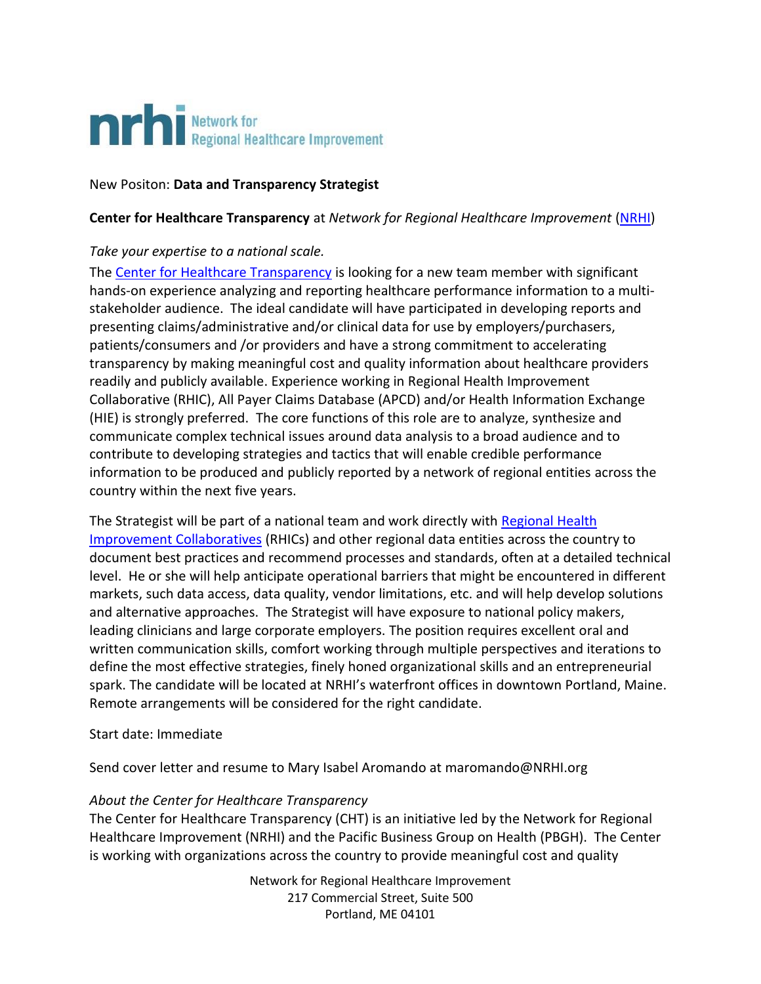

# New Positon: **Data and Transparency Strategist**

# **Center for Healthcare Transparency** at *Network for Regional Healthcare Improvement* [\(NRHI\)](http://www.nrhi.org/)

## *Take your expertise to a national scale.*

The [Center for Healthcare Transparency](http://www.nrhi.org/work/multi-region-innovation-pilots/center-healthcare-transparency/) is looking for a new team member with significant hands-on experience analyzing and reporting healthcare performance information to a multistakeholder audience. The ideal candidate will have participated in developing reports and presenting claims/administrative and/or clinical data for use by employers/purchasers, patients/consumers and /or providers and have a strong commitment to accelerating transparency by making meaningful cost and quality information about healthcare providers readily and publicly available. Experience working in Regional Health Improvement Collaborative (RHIC), All Payer Claims Database (APCD) and/or Health Information Exchange (HIE) is strongly preferred. The core functions of this role are to analyze, synthesize and communicate complex technical issues around data analysis to a broad audience and to contribute to developing strategies and tactics that will enable credible performance information to be produced and publicly reported by a network of regional entities across the country within the next five years.

The Strategist will be part of a national team and work directly with [Regional Health](http://www.nrhi.org/about-collaboratives/)  [Improvement Collaboratives](http://www.nrhi.org/about-collaboratives/) (RHICs) and other regional data entities across the country to document best practices and recommend processes and standards, often at a detailed technical level. He or she will help anticipate operational barriers that might be encountered in different markets, such data access, data quality, vendor limitations, etc. and will help develop solutions and alternative approaches. The Strategist will have exposure to national policy makers, leading clinicians and large corporate employers. The position requires excellent oral and written communication skills, comfort working through multiple perspectives and iterations to define the most effective strategies, finely honed organizational skills and an entrepreneurial spark. The candidate will be located at NRHI's waterfront offices in downtown Portland, Maine. Remote arrangements will be considered for the right candidate.

## Start date: Immediate

Send cover letter and resume to Mary Isabel Aromando at maromando@NRHI.org

## *About the Center for Healthcare Transparency*

The Center for Healthcare Transparency (CHT) is an initiative led by the Network for Regional Healthcare Improvement (NRHI) and the Pacific Business Group on Health (PBGH). The Center is working with organizations across the country to provide meaningful cost and quality

> Network for Regional Healthcare Improvement 217 Commercial Street, Suite 500 Portland, ME 04101